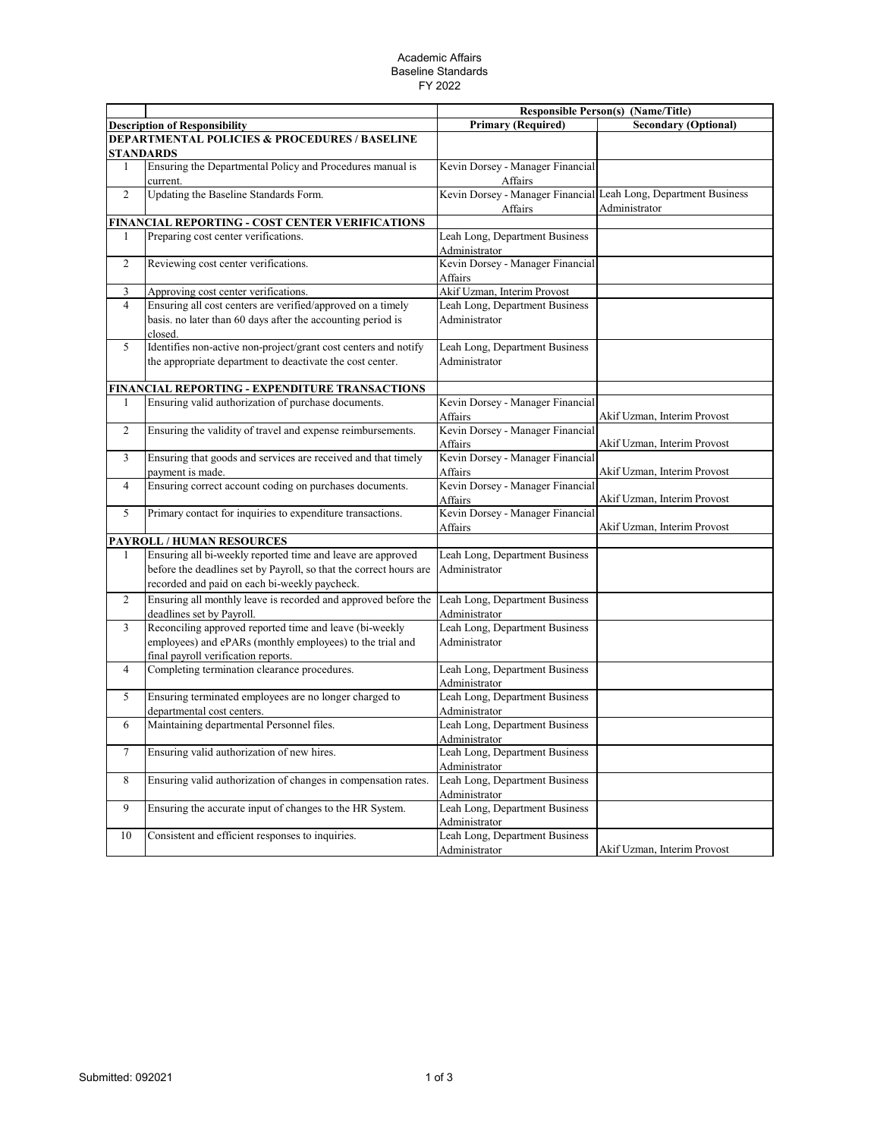## Academic Affairs Baseline Standards FY 2022

|                |                                                                                                                                                                                    |                                                    | <b>Responsible Person(s) (Name/Title)</b>       |
|----------------|------------------------------------------------------------------------------------------------------------------------------------------------------------------------------------|----------------------------------------------------|-------------------------------------------------|
|                | <b>Description of Responsibility</b>                                                                                                                                               | <b>Primary (Required)</b>                          | <b>Secondary (Optional)</b>                     |
|                | <b>DEPARTMENTAL POLICIES &amp; PROCEDURES / BASELINE</b><br><b>STANDARDS</b>                                                                                                       |                                                    |                                                 |
| $\mathbf{1}$   | Ensuring the Departmental Policy and Procedures manual is<br>current.                                                                                                              | Kevin Dorsey - Manager Financial<br>Affairs        |                                                 |
| $\overline{c}$ | Updating the Baseline Standards Form.                                                                                                                                              | Kevin Dorsey - Manager Financial<br>Affairs        | Leah Long, Department Business<br>Administrator |
|                | FINANCIAL REPORTING - COST CENTER VERIFICATIONS                                                                                                                                    |                                                    |                                                 |
| 1              | Preparing cost center verifications.                                                                                                                                               | Leah Long, Department Business<br>Administrator    |                                                 |
| $\overline{c}$ | Reviewing cost center verifications.                                                                                                                                               | Kevin Dorsey - Manager Financial<br>Affairs        |                                                 |
| 3              | Approving cost center verifications.                                                                                                                                               | Akif Uzman, Interim Provost                        |                                                 |
| $\overline{4}$ | Ensuring all cost centers are verified/approved on a timely<br>basis. no later than 60 days after the accounting period is<br>closed.                                              | Leah Long, Department Business<br>Administrator    |                                                 |
| 5              | Identifies non-active non-project/grant cost centers and notify<br>the appropriate department to deactivate the cost center.                                                       | Leah Long, Department Business<br>Administrator    |                                                 |
|                | FINANCIAL REPORTING - EXPENDITURE TRANSACTIONS                                                                                                                                     |                                                    |                                                 |
|                | Ensuring valid authorization of purchase documents.                                                                                                                                | Kevin Dorsey - Manager Financial<br>Affairs        | Akif Uzman, Interim Provost                     |
| $\overline{2}$ | Ensuring the validity of travel and expense reimbursements.                                                                                                                        | Kevin Dorsey - Manager Financial<br><b>Affairs</b> | Akif Uzman, Interim Provost                     |
| 3              | Ensuring that goods and services are received and that timely<br>payment is made.                                                                                                  | Kevin Dorsey - Manager Financial<br>Affairs        | Akif Uzman, Interim Provost                     |
| $\overline{4}$ | Ensuring correct account coding on purchases documents.                                                                                                                            | Kevin Dorsey - Manager Financial<br>Affairs        | Akif Uzman, Interim Provost                     |
| 5              | Primary contact for inquiries to expenditure transactions.                                                                                                                         | Kevin Dorsey - Manager Financial<br>Affairs        | Akif Uzman, Interim Provost                     |
|                | PAYROLL / HUMAN RESOURCES                                                                                                                                                          |                                                    |                                                 |
| 1              | Ensuring all bi-weekly reported time and leave are approved<br>before the deadlines set by Payroll, so that the correct hours are<br>recorded and paid on each bi-weekly paycheck. | Leah Long, Department Business<br>Administrator    |                                                 |
| $\overline{2}$ | Ensuring all monthly leave is recorded and approved before the<br>deadlines set by Payroll.                                                                                        | Leah Long, Department Business<br>Administrator    |                                                 |
| 3              | Reconciling approved reported time and leave (bi-weekly<br>employees) and ePARs (monthly employees) to the trial and<br>final payroll verification reports.                        | Leah Long, Department Business<br>Administrator    |                                                 |
| 4              | Completing termination clearance procedures.                                                                                                                                       | Leah Long, Department Business<br>Administrator    |                                                 |
| 5              | Ensuring terminated employees are no longer charged to<br>departmental cost centers.                                                                                               | Leah Long, Department Business<br>Administrator    |                                                 |
| 6              | Maintaining departmental Personnel files.                                                                                                                                          | Leah Long, Department Business<br>Administrator    |                                                 |
| 7              | Ensuring valid authorization of new hires.                                                                                                                                         | Leah Long, Department Business<br>Administrator    |                                                 |
| 8              | Ensuring valid authorization of changes in compensation rates.                                                                                                                     | Leah Long, Department Business<br>Administrator    |                                                 |
| 9              | Ensuring the accurate input of changes to the HR System.                                                                                                                           | Leah Long, Department Business<br>Administrator    |                                                 |
| 10             | Consistent and efficient responses to inquiries.                                                                                                                                   | Leah Long, Department Business<br>Administrator    | Akif Uzman, Interim Provost                     |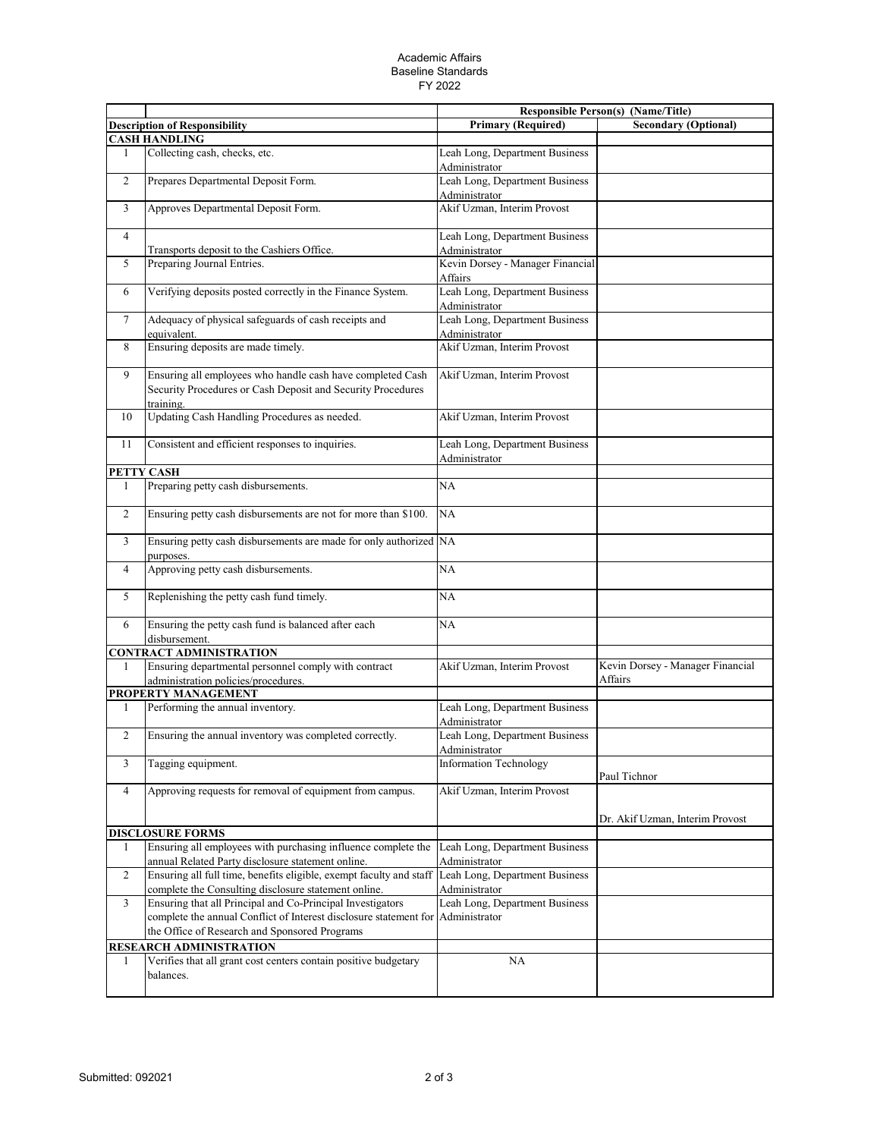## Academic Affairs Baseline Standards FY 2022

|                |                                                                                                                                        |                                                 | <b>Responsible Person(s) (Name/Title)</b>   |
|----------------|----------------------------------------------------------------------------------------------------------------------------------------|-------------------------------------------------|---------------------------------------------|
|                | <b>Description of Responsibility</b>                                                                                                   | <b>Primary (Required)</b>                       | <b>Secondary (Optional)</b>                 |
|                | <b>CASH HANDLING</b>                                                                                                                   |                                                 |                                             |
| 1              | Collecting cash, checks, etc.                                                                                                          | Leah Long, Department Business<br>Administrator |                                             |
| $\overline{c}$ | Prepares Departmental Deposit Form.                                                                                                    | Leah Long, Department Business<br>Administrator |                                             |
| 3              | Approves Departmental Deposit Form.                                                                                                    | Akif Uzman, Interim Provost                     |                                             |
| $\overline{4}$ | Transports deposit to the Cashiers Office.                                                                                             | Leah Long, Department Business<br>Administrator |                                             |
| 5              | Preparing Journal Entries.                                                                                                             | Kevin Dorsey - Manager Financial<br>Affairs     |                                             |
| 6              | Verifying deposits posted correctly in the Finance System.                                                                             | Leah Long, Department Business<br>Administrator |                                             |
| $\tau$         | Adequacy of physical safeguards of cash receipts and<br>equivalent.                                                                    | Leah Long, Department Business<br>Administrator |                                             |
| 8              | Ensuring deposits are made timely.                                                                                                     | Akif Uzman, Interim Provost                     |                                             |
| 9              | Ensuring all employees who handle cash have completed Cash<br>Security Procedures or Cash Deposit and Security Procedures<br>training. | Akif Uzman, Interim Provost                     |                                             |
| 10             | Updating Cash Handling Procedures as needed.                                                                                           | Akif Uzman, Interim Provost                     |                                             |
| 11             | Consistent and efficient responses to inquiries.                                                                                       | Leah Long, Department Business<br>Administrator |                                             |
|                | PETTY CASH                                                                                                                             |                                                 |                                             |
| 1              | Preparing petty cash disbursements.                                                                                                    | <b>NA</b>                                       |                                             |
| $\overline{2}$ | Ensuring petty cash disbursements are not for more than \$100.                                                                         | NA                                              |                                             |
| 3              | Ensuring petty cash disbursements are made for only authorized NA<br>purposes.                                                         |                                                 |                                             |
| 4              | Approving petty cash disbursements.                                                                                                    | NA                                              |                                             |
| 5              | Replenishing the petty cash fund timely.                                                                                               | NA                                              |                                             |
| 6              | Ensuring the petty cash fund is balanced after each<br>disbursement.                                                                   | NA                                              |                                             |
|                | <b>CONTRACT ADMINISTRATION</b>                                                                                                         |                                                 |                                             |
| 1              | Ensuring departmental personnel comply with contract<br>administration policies/procedures.                                            | Akif Uzman, Interim Provost                     | Kevin Dorsey - Manager Financial<br>Affairs |
|                | PROPERTY MANAGEMENT                                                                                                                    |                                                 |                                             |
| 1              | Performing the annual inventory.                                                                                                       | Leah Long, Department Business<br>Administrator |                                             |
| $\overline{c}$ | Ensuring the annual inventory was completed correctly.                                                                                 | Leah Long, Department Business<br>Administrator |                                             |
| 3              | Tagging equipment.                                                                                                                     | Information Technology                          | Paul Tichnor                                |
| $\overline{4}$ | Approving requests for removal of equipment from campus.                                                                               | Akif Uzman, Interim Provost                     | Dr. Akif Uzman, Interim Provost             |
|                | <b>DISCLOSURE FORMS</b>                                                                                                                |                                                 |                                             |
| 1              | Ensuring all employees with purchasing influence complete the                                                                          | Leah Long, Department Business                  |                                             |
| $\overline{c}$ | annual Related Party disclosure statement online.<br>Ensuring all full time, benefits eligible, exempt faculty and staff               | Administrator<br>Leah Long, Department Business |                                             |
|                | complete the Consulting disclosure statement online.                                                                                   | Administrator                                   |                                             |
| 3              | Ensuring that all Principal and Co-Principal Investigators<br>complete the annual Conflict of Interest disclosure statement for        | Leah Long, Department Business<br>Administrator |                                             |
|                | the Office of Research and Sponsored Programs                                                                                          |                                                 |                                             |
|                | RESEARCH ADMINISTRATION                                                                                                                |                                                 |                                             |
| 1              | Verifies that all grant cost centers contain positive budgetary<br>balances.                                                           | NA                                              |                                             |